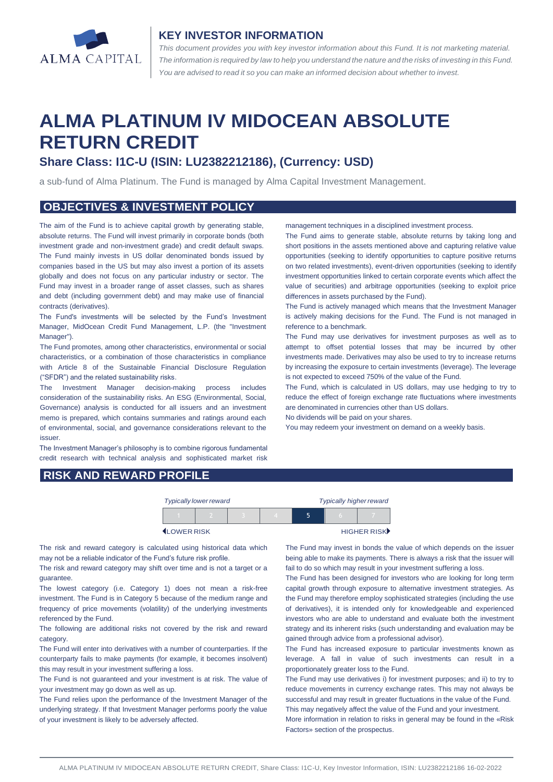

#### **KEY INVESTOR INFORMATION**

*This document provides you with key investor information about this Fund. It is not marketing material.*  The information is required by law to help you understand the nature and the risks of investing in this Fund. *You are advised to read it so you can make an informed decision about whether to invest.*

# **ALMA PLATINUM IV MIDOCEAN ABSOLUTE RETURN CREDIT**

## **Share Class: I1C-U (ISIN: LU2382212186), (Currency: USD)**

a sub-fund of Alma Platinum. The Fund is managed by Alma Capital Investment Management.

## **OBJECTIVES & INVESTMENT POLICY**

The aim of the Fund is to achieve capital growth by generating stable, absolute returns. The Fund will invest primarily in corporate bonds (both investment grade and non-investment grade) and credit default swaps. The Fund mainly invests in US dollar denominated bonds issued by companies based in the US but may also invest a portion of its assets globally and does not focus on any particular industry or sector. The Fund may invest in a broader range of asset classes, such as shares and debt (including government debt) and may make use of financial contracts (derivatives).

The Fund's investments will be selected by the Fund's Investment Manager, MidOcean Credit Fund Management, L.P. (the "Investment Manager").

The Fund promotes, among other characteristics, environmental or social characteristics, or a combination of those characteristics in compliance with Article 8 of the Sustainable Financial Disclosure Regulation ("SFDR") and the related sustainability risks.

The Investment Manager decision-making process includes consideration of the sustainability risks. An ESG (Environmental, Social, Governance) analysis is conducted for all issuers and an investment memo is prepared, which contains summaries and ratings around each of environmental, social, and governance considerations relevant to the issuer.

The Investment Manager's philosophy is to combine rigorous fundamental credit research with technical analysis and sophisticated market risk

management techniques in a disciplined investment process.

The Fund aims to generate stable, absolute returns by taking long and short positions in the assets mentioned above and capturing relative value opportunities (seeking to identify opportunities to capture positive returns on two related investments), event-driven opportunities (seeking to identify investment opportunities linked to certain corporate events which affect the value of securities) and arbitrage opportunities (seeking to exploit price differences in assets purchased by the Fund).

The Fund is actively managed which means that the Investment Manager is actively making decisions for the Fund. The Fund is not managed in reference to a benchmark.

The Fund may use derivatives for investment purposes as well as to attempt to offset potential losses that may be incurred by other investments made. Derivatives may also be used to try to increase returns by increasing the exposure to certain investments (leverage). The leverage is not expected to exceed 750% of the value of the Fund.

The Fund, which is calculated in US dollars, may use hedging to try to reduce the effect of foreign exchange rate fluctuations where investments are denominated in currencies other than US dollars.

No dividends will be paid on your shares.

You may redeem your investment on demand on a weekly basis.

## **RISK AND REWARD PROFILE**

| <b>Typically lower reward</b> |  |  |  |  | <b>Typically higher reward</b> |             |  |
|-------------------------------|--|--|--|--|--------------------------------|-------------|--|
|                               |  |  |  |  |                                |             |  |
| LOWER RISK                    |  |  |  |  |                                | HIGHER RISK |  |

The risk and reward category is calculated using historical data which may not be a reliable indicator of the Fund's future risk profile.

The risk and reward category may shift over time and is not a target or a guarantee.

The lowest category (i.e. Category 1) does not mean a risk-free investment. The Fund is in Category 5 because of the medium range and frequency of price movements (volatility) of the underlying investments referenced by the Fund.

The following are additional risks not covered by the risk and reward category.

The Fund will enter into derivatives with a number of counterparties. If the counterparty fails to make payments (for example, it becomes insolvent) this may result in your investment suffering a loss.

The Fund is not guaranteed and your investment is at risk. The value of your investment may go down as well as up.

The Fund relies upon the performance of the Investment Manager of the underlying strategy. If that Investment Manager performs poorly the value of your investment is likely to be adversely affected.

The Fund may invest in bonds the value of which depends on the issuer being able to make its payments. There is always a risk that the issuer will fail to do so which may result in your investment suffering a loss.

The Fund has been designed for investors who are looking for long term capital growth through exposure to alternative investment strategies. As the Fund may therefore employ sophisticated strategies (including the use of derivatives), it is intended only for knowledgeable and experienced investors who are able to understand and evaluate both the investment strategy and its inherent risks (such understanding and evaluation may be gained through advice from a professional advisor).

The Fund has increased exposure to particular investments known as leverage. A fall in value of such investments can result in a proportionately greater loss to the Fund.

The Fund may use derivatives i) for investment purposes; and ii) to try to reduce movements in currency exchange rates. This may not always be successful and may result in greater fluctuations in the value of the Fund. This may negatively affect the value of the Fund and your investment.

More information in relation to risks in general may be found in the «Risk Factors» section of the prospectus.